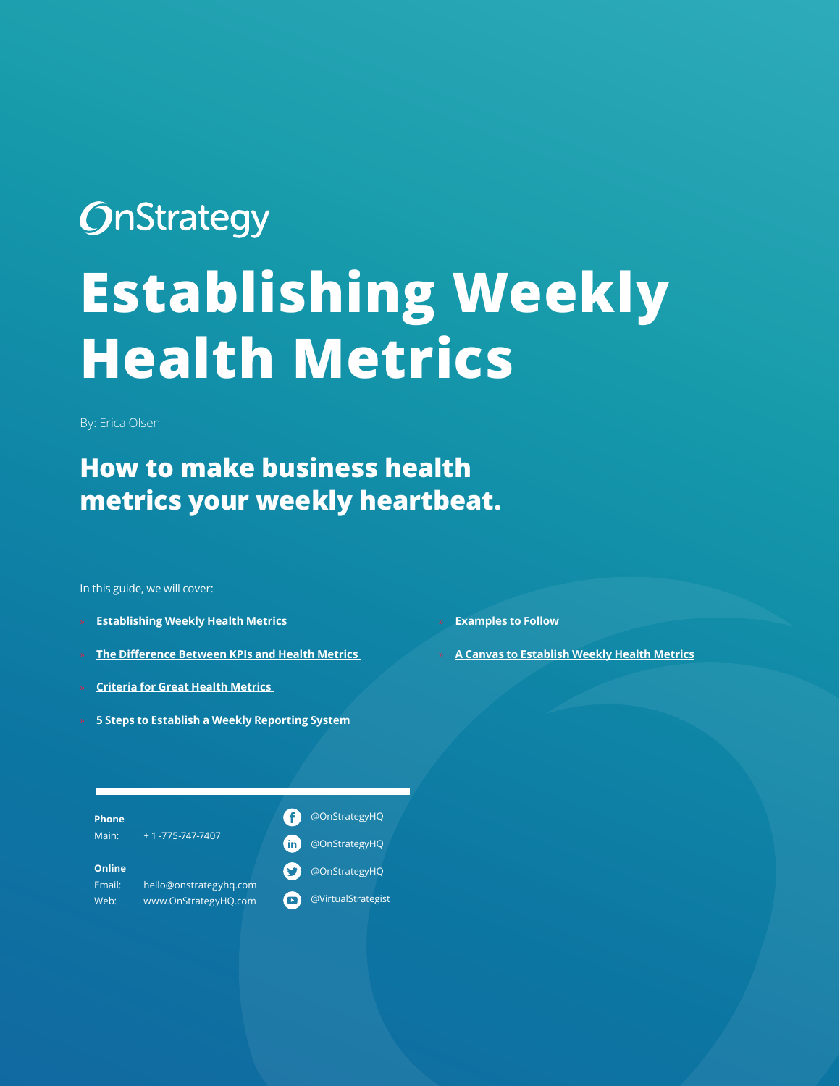# **OnStrategy Establishing Weekly Health Metrics**

By: Erica Olsen

#### **How to make business health metrics your weekly heartbeat.**

In this guide, we will cover:

- **[Establishing Weekly Health Metrics](#page-1-0)**
- » **[The Difference Between KPIs and Health Metrics](#page-2-0)**
- » **[Criteria for Great Health Metrics](#page-2-1)**
- » **[5 Steps to Establish a Weekly Reporting System](#page-3-0)**

» **[Examples to Follow](#page-4-0)**

» **[A Canvas to Establish Weekly Health Metrics](#page-6-0)**

| $+ 1 - 775 - 747 - 7407$<br>Main:<br>@OnStrategyHQ<br>in    |
|-------------------------------------------------------------|
|                                                             |
| Online<br>@OnStrategyHQ<br>hello@onstrategyhg.com<br>Email: |
| @VirtualStrategist<br>www.OnStrategyHQ.com<br>Web:          |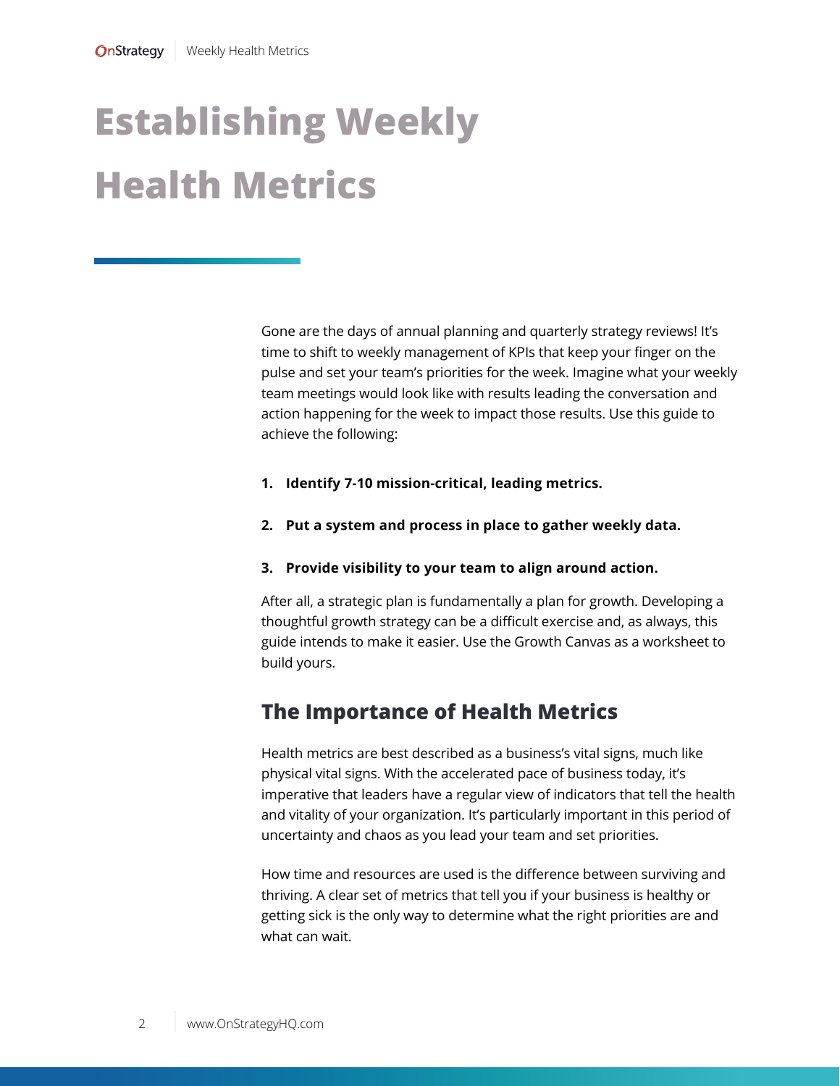### <span id="page-1-0"></span>**Establishing Weekly Health Metrics**

Gone are the days of annual planning and quarterly strategy reviews! It's time to shift to weekly management of KPIs that keep your finger on the pulse and set your team's priorities for the week. Imagine what your weekly team meetings would look like with results leading the conversation and action happening for the week to impact those results. Use this guide to achieve the following:

- **1. Identify 7-10 mission-critical, leading metrics.**
- **2. Put a system and process in place to gather weekly data.**
- **3. Provide visibility to your team to align around action.**

After all, a strategic plan is fundamentally a plan for growth. Developing a thoughtful growth strategy can be a difficult exercise and, as always, this guide intends to make it easier. Use the Growth Canvas as a worksheet to build yours.

#### **The Importance of Health Metrics**

Health metrics are best described as a business's vital signs, much like physical vital signs. With the accelerated pace of business today, it's imperative that leaders have a regular view of indicators that tell the health and vitality of your organization. It's particularly important in this period of uncertainty and chaos as you lead your team and set priorities.

How time and resources are used is the difference between surviving and thriving. A clear set of metrics that tell you if your business is healthy or getting sick is the only way to determine what the right priorities are and what can wait.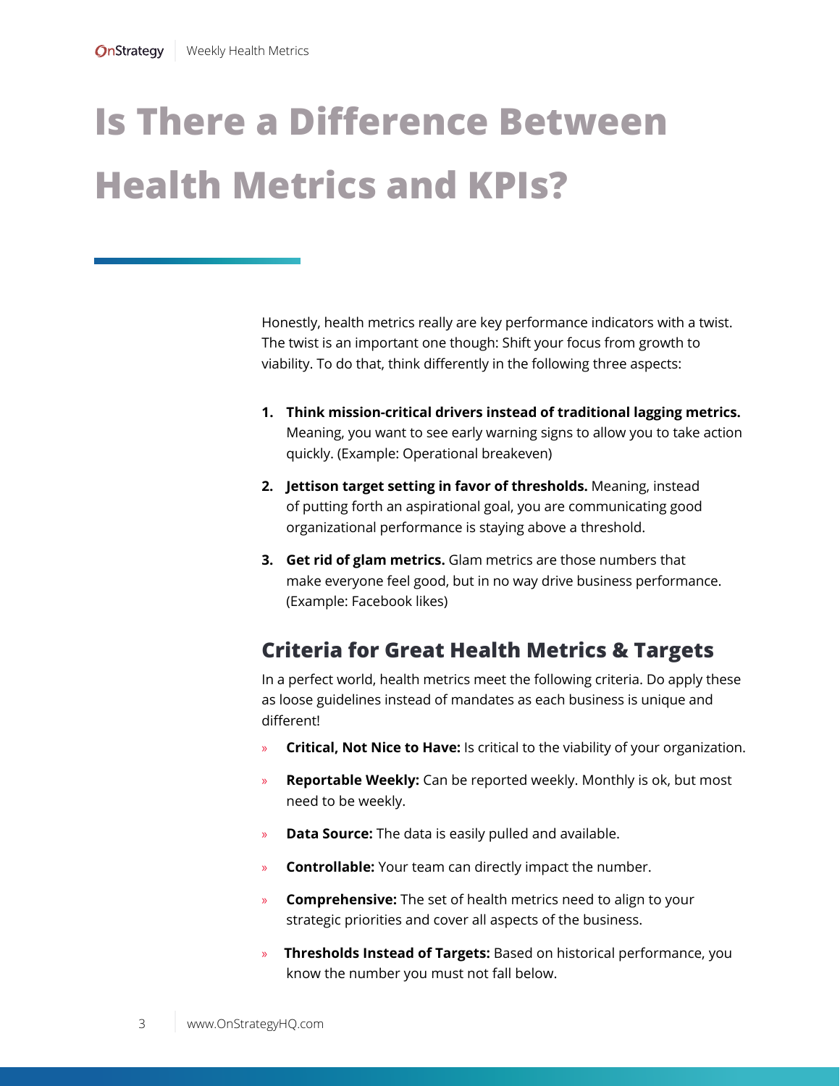### <span id="page-2-0"></span>**Is There a Difference Between Health Metrics and KPIs?**

Honestly, health metrics really are key performance indicators with a twist. The twist is an important one though: Shift your focus from growth to viability. To do that, think differently in the following three aspects:

- **1. Think mission-critical drivers instead of traditional lagging metrics.**  Meaning, you want to see early warning signs to allow you to take action quickly. (Example: Operational breakeven)
- **2. Jettison target setting in favor of thresholds.** Meaning, instead of putting forth an aspirational goal, you are communicating good organizational performance is staying above a threshold.
- **3. Get rid of glam metrics.** Glam metrics are those numbers that make everyone feel good, but in no way drive business performance. (Example: Facebook likes)

#### <span id="page-2-1"></span>**Criteria for Great Health Metrics & Targets**

In a perfect world, health metrics meet the following criteria. Do apply these as loose guidelines instead of mandates as each business is unique and different!

- » **Critical, Not Nice to Have:** Is critical to the viability of your organization.
- **Reportable Weekly:** Can be reported weekly. Monthly is ok, but most need to be weekly.
- » **Data Source:** The data is easily pulled and available.
- » **Controllable:** Your team can directly impact the number.
- » **Comprehensive:** The set of health metrics need to align to your strategic priorities and cover all aspects of the business.
- » **Thresholds Instead of Targets:** Based on historical performance, you know the number you must not fall below.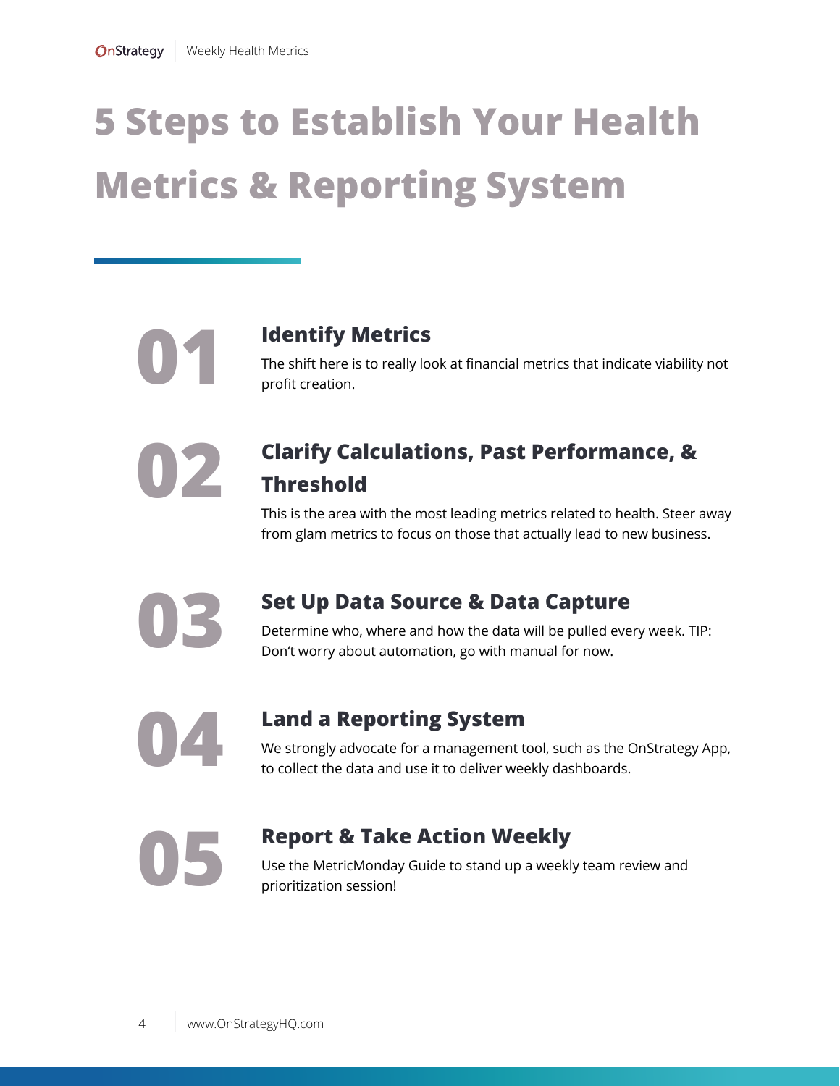## <span id="page-3-0"></span>**5 Steps to Establish Your Health Metrics & Reporting System**

#### **01 Identify Metrics**

The shift here is to really look at financial metrics that indicate viability not profit creation.

#### **Clarify Calculations, Past Performance, & Threshold**

This is the area with the most leading metrics related to health. Steer away from glam metrics to focus on those that actually lead to new business.

**03**

**02**

#### **Set Up Data Source & Data Capture**

Determine who, where and how the data will be pulled every week. TIP: Don't worry about automation, go with manual for now.

**04**

#### **Land a Reporting System**

We strongly advocate for a management tool, such as the OnStrategy App, to collect the data and use it to deliver weekly dashboards.

**05**

#### **Report & Take Action Weekly**

Use the MetricMonday Guide to stand up a weekly team review and prioritization session!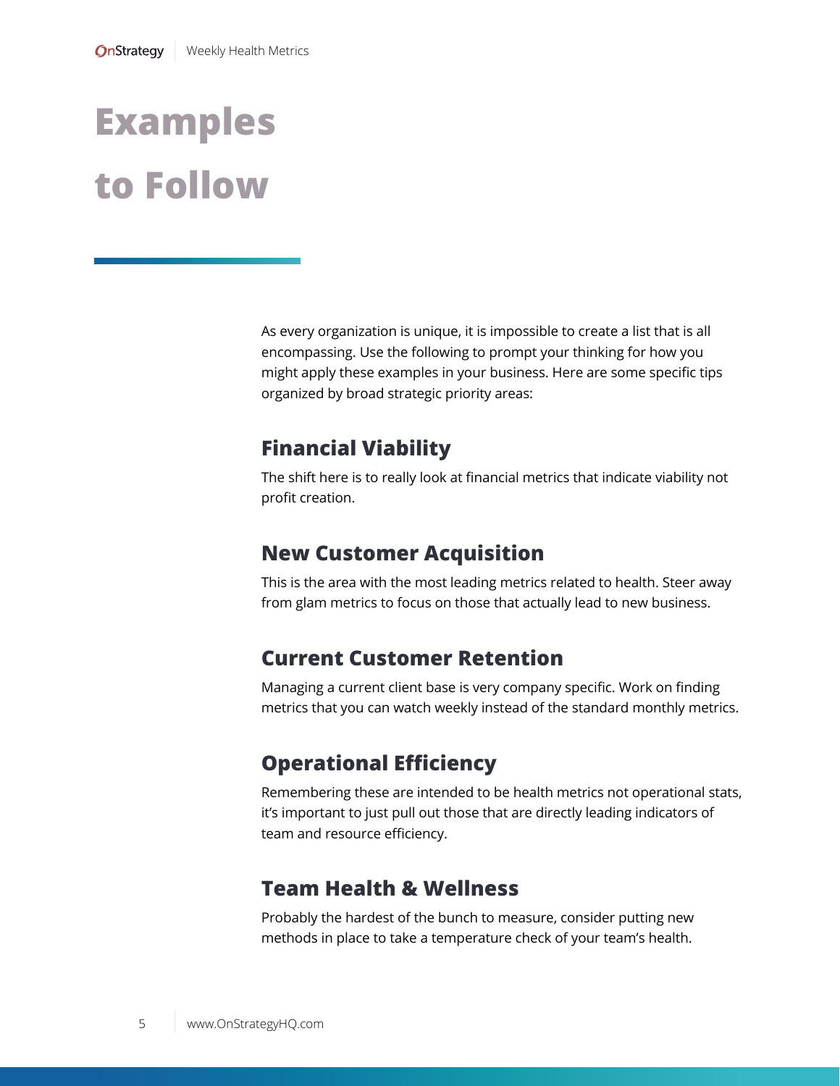### <span id="page-4-0"></span>**Examples to Follow**

As every organization is unique, it is impossible to create a list that is all encompassing. Use the following to prompt your thinking for how you might apply these examples in your business. Here are some specific tips organized by broad strategic priority areas:

#### **Financial Viability**

The shift here is to really look at financial metrics that indicate viability not profit creation.

#### **New Customer Acquisition**

This is the area with the most leading metrics related to health. Steer away from glam metrics to focus on those that actually lead to new business.

#### **Current Customer Retention**

Managing a current client base is very company specific. Work on finding metrics that you can watch weekly instead of the standard monthly metrics.

#### **Operational Efficiency**

Remembering these are intended to be health metrics not operational stats, it's important to just pull out those that are directly leading indicators of team and resource efficiency.

#### **Team Health & Wellness**

Probably the hardest of the bunch to measure, consider putting new methods in place to take a temperature check of your team's health.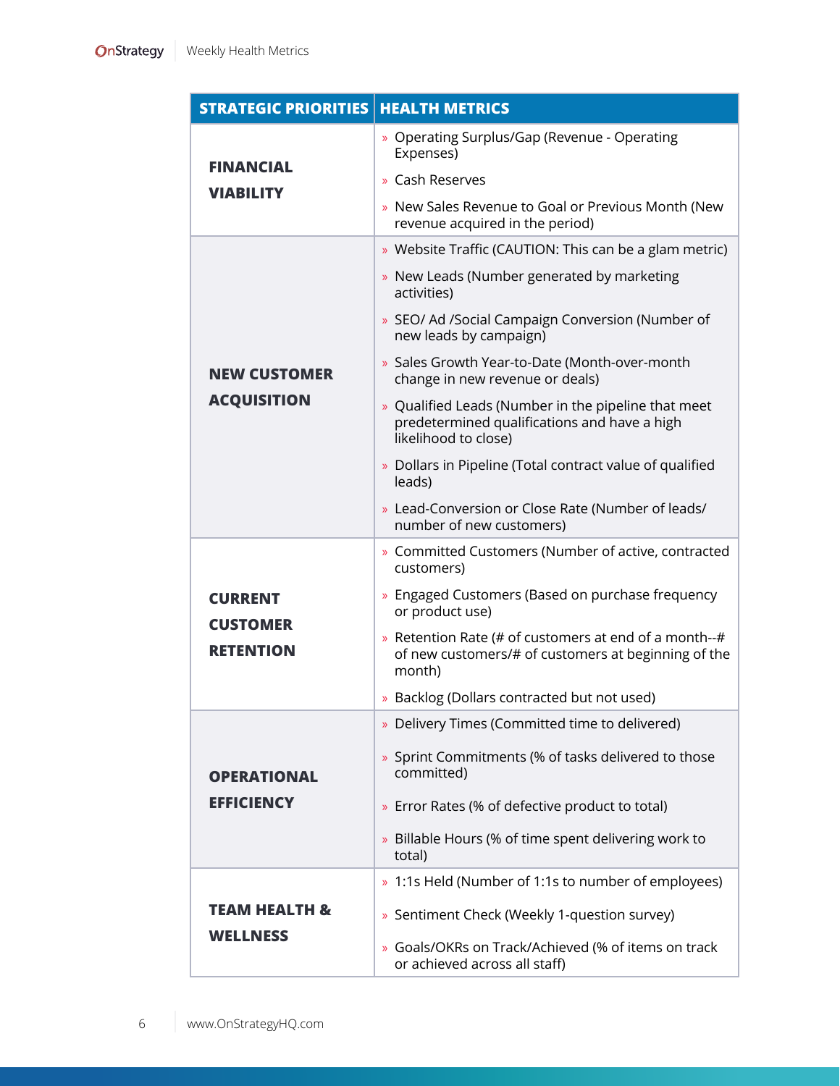| <b>STRATEGIC PRIORITIES</b>                           | <b>HEALTH METRICS</b>                                                                                                       |  |  |  |
|-------------------------------------------------------|-----------------------------------------------------------------------------------------------------------------------------|--|--|--|
| FINANCIAL<br><b>VIABILITY</b>                         | » Operating Surplus/Gap (Revenue - Operating<br>Expenses)                                                                   |  |  |  |
|                                                       | » Cash Reserves                                                                                                             |  |  |  |
|                                                       | » New Sales Revenue to Goal or Previous Month (New<br>revenue acquired in the period)                                       |  |  |  |
| <b>NEW CUSTOMER</b><br><b>ACQUISITION</b>             | » Website Traffic (CAUTION: This can be a glam metric)                                                                      |  |  |  |
|                                                       | » New Leads (Number generated by marketing<br>activities)                                                                   |  |  |  |
|                                                       | » SEO/ Ad /Social Campaign Conversion (Number of<br>new leads by campaign)                                                  |  |  |  |
|                                                       | » Sales Growth Year-to-Date (Month-over-month<br>change in new revenue or deals)                                            |  |  |  |
|                                                       | » Qualified Leads (Number in the pipeline that meet<br>predetermined qualifications and have a high<br>likelihood to close) |  |  |  |
|                                                       | » Dollars in Pipeline (Total contract value of qualified<br>leads)                                                          |  |  |  |
|                                                       | » Lead-Conversion or Close Rate (Number of leads/<br>number of new customers)                                               |  |  |  |
| <b>CURRENT</b><br><b>CUSTOMER</b><br><b>RETENTION</b> | » Committed Customers (Number of active, contracted<br>customers)                                                           |  |  |  |
|                                                       | » Engaged Customers (Based on purchase frequency<br>or product use)                                                         |  |  |  |
|                                                       | » Retention Rate (# of customers at end of a month--#<br>of new customers/# of customers at beginning of the<br>month)      |  |  |  |
|                                                       | » Backlog (Dollars contracted but not used)                                                                                 |  |  |  |
| <b>OPERATIONAL</b><br><b>EFFICIENCY</b>               | » Delivery Times (Committed time to delivered)                                                                              |  |  |  |
|                                                       | » Sprint Commitments (% of tasks delivered to those<br>committed)                                                           |  |  |  |
|                                                       | » Error Rates (% of defective product to total)                                                                             |  |  |  |
|                                                       | » Billable Hours (% of time spent delivering work to<br>total)                                                              |  |  |  |
|                                                       | » 1:1s Held (Number of 1:1s to number of employees)                                                                         |  |  |  |
| TEAM HEALTH &                                         | » Sentiment Check (Weekly 1-question survey)                                                                                |  |  |  |
| <b>WELLNESS</b>                                       | » Goals/OKRs on Track/Achieved (% of items on track<br>or achieved across all staff)                                        |  |  |  |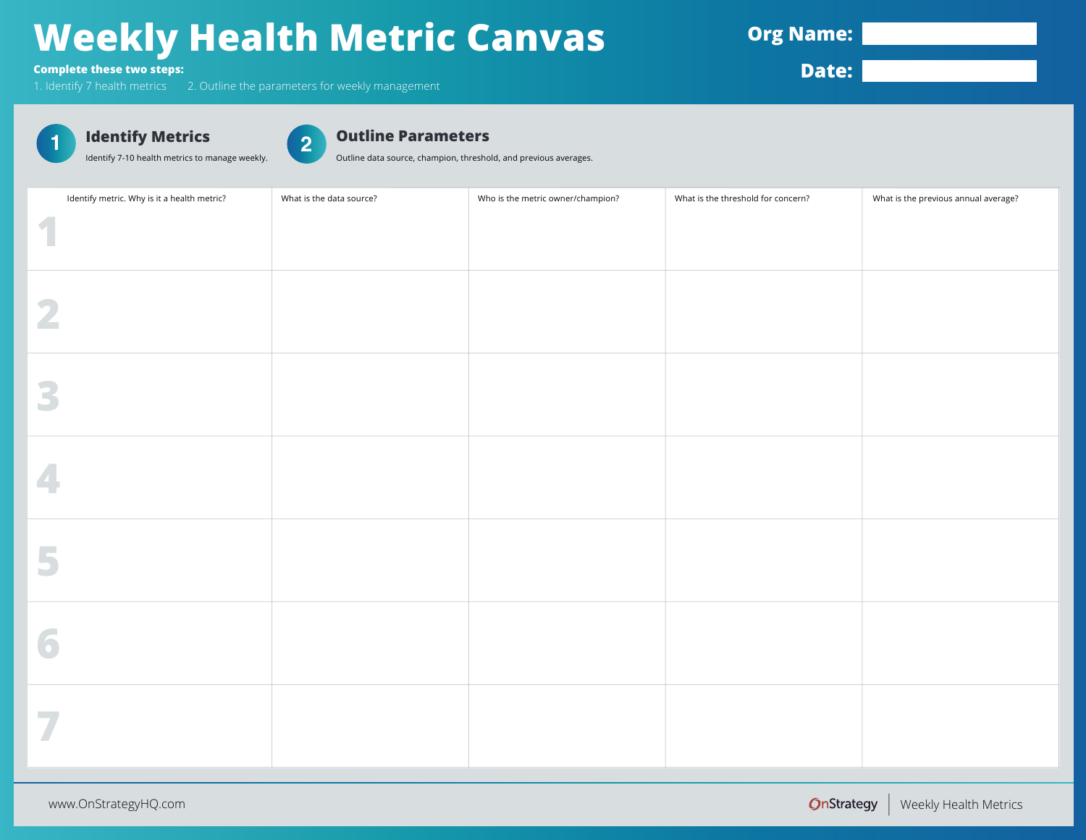### **Weekly Health Metric Canvas**

**Org Name:** 

**Complete these two steps:**

1. Identify 7 health metrics 2. Outline the parameters for weekly management

**Date:**



Identify 7-10 health metrics to manage weekly.

#### **2 Outline Parameters**

Outline data source, champion, threshold, and previous averages.

<span id="page-6-0"></span>

| Identify metric. Why is it a health metric? | What is the data source? | Who is the metric owner/champion? | What is the threshold for concern? | What is the previous annual average? |
|---------------------------------------------|--------------------------|-----------------------------------|------------------------------------|--------------------------------------|
| 1                                           |                          |                                   |                                    |                                      |
| 2                                           |                          |                                   |                                    |                                      |
| 3                                           |                          |                                   |                                    |                                      |
| 4                                           |                          |                                   |                                    |                                      |
| 5                                           |                          |                                   |                                    |                                      |
| 6                                           |                          |                                   |                                    |                                      |
| 7                                           |                          |                                   |                                    |                                      |